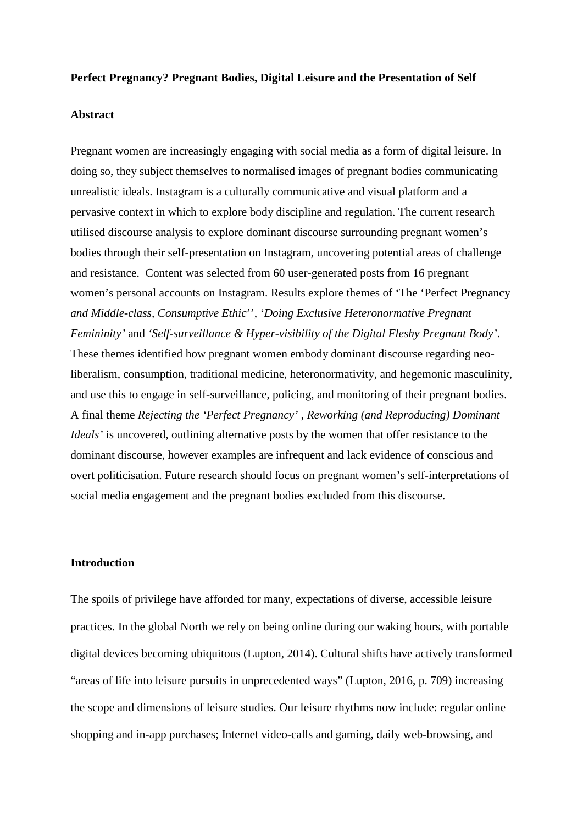### **Perfect Pregnancy? Pregnant Bodies, Digital Leisure and the Presentation of Self**

## **Abstract**

Pregnant women are increasingly engaging with social media as a form of digital leisure. In doing so, they subject themselves to normalised images of pregnant bodies communicating unrealistic ideals. Instagram is a culturally communicative and visual platform and a pervasive context in which to explore body discipline and regulation. The current research utilised discourse analysis to explore dominant discourse surrounding pregnant women's bodies through their self-presentation on Instagram, uncovering potential areas of challenge and resistance. Content was selected from 60 user-generated posts from 16 pregnant women's personal accounts on Instagram. Results explore themes of 'The 'Perfect Pregnancy *and Middle-class, Consumptive Ethic*'', '*Doing Exclusive Heteronormative Pregnant Femininity'* and *'Self-surveillance & Hyper-visibility of the Digital Fleshy Pregnant Body'*. These themes identified how pregnant women embody dominant discourse regarding neoliberalism, consumption, traditional medicine, heteronormativity, and hegemonic masculinity, and use this to engage in self-surveillance, policing, and monitoring of their pregnant bodies. A final theme *Rejecting the 'Perfect Pregnancy' , Reworking (and Reproducing) Dominant Ideals'* is uncovered, outlining alternative posts by the women that offer resistance to the dominant discourse, however examples are infrequent and lack evidence of conscious and overt politicisation. Future research should focus on pregnant women's self-interpretations of social media engagement and the pregnant bodies excluded from this discourse.

# **Introduction**

The spoils of privilege have afforded for many, expectations of diverse, accessible leisure practices. In the global North we rely on being online during our waking hours, with portable digital devices becoming ubiquitous (Lupton, 2014). Cultural shifts have actively transformed "areas of life into leisure pursuits in unprecedented ways" (Lupton, 2016, p. 709) increasing the scope and dimensions of leisure studies. Our leisure rhythms now include: regular online shopping and in-app purchases; Internet video-calls and gaming, daily web-browsing, and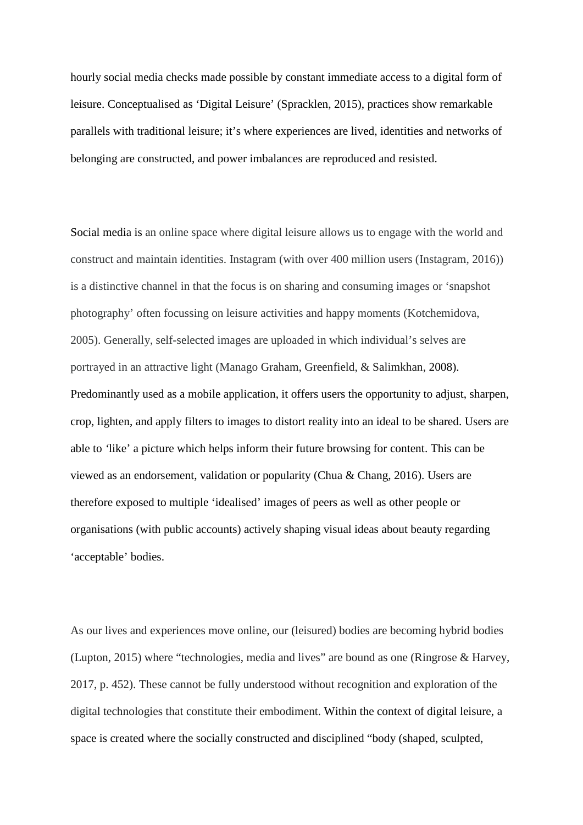hourly social media checks made possible by constant immediate access to a digital form of leisure. Conceptualised as 'Digital Leisure' (Spracklen, 2015), practices show remarkable parallels with traditional leisure; it's where experiences are lived, identities and networks of belonging are constructed, and power imbalances are reproduced and resisted.

Social media is an online space where digital leisure allows us to engage with the world and construct and maintain identities. Instagram (with over 400 million users (Instagram, 2016)) is a distinctive channel in that the focus is on sharing and consuming images or 'snapshot photography' often focussing on leisure activities and happy moments (Kotchemidova, 2005). Generally, self-selected images are uploaded in which individual's selves are portrayed in an attractive light (Manago Graham, Greenfield, & Salimkhan, 2008). Predominantly used as a mobile application, it offers users the opportunity to adjust, sharpen, crop, lighten, and apply filters to images to distort reality into an ideal to be shared. Users are able to *'*like' a picture which helps inform their future browsing for content. This can be viewed as an endorsement, validation or popularity (Chua & Chang, 2016). Users are therefore exposed to multiple 'idealised' images of peers as well as other people or organisations (with public accounts) actively shaping visual ideas about beauty regarding 'acceptable' bodies.

As our lives and experiences move online, our (leisured) bodies are becoming hybrid bodies (Lupton, 2015) where "technologies, media and lives" are bound as one (Ringrose & Harvey, 2017, p. 452). These cannot be fully understood without recognition and exploration of the digital technologies that constitute their embodiment. Within the context of digital leisure, a space is created where the socially constructed and disciplined "body (shaped, sculpted,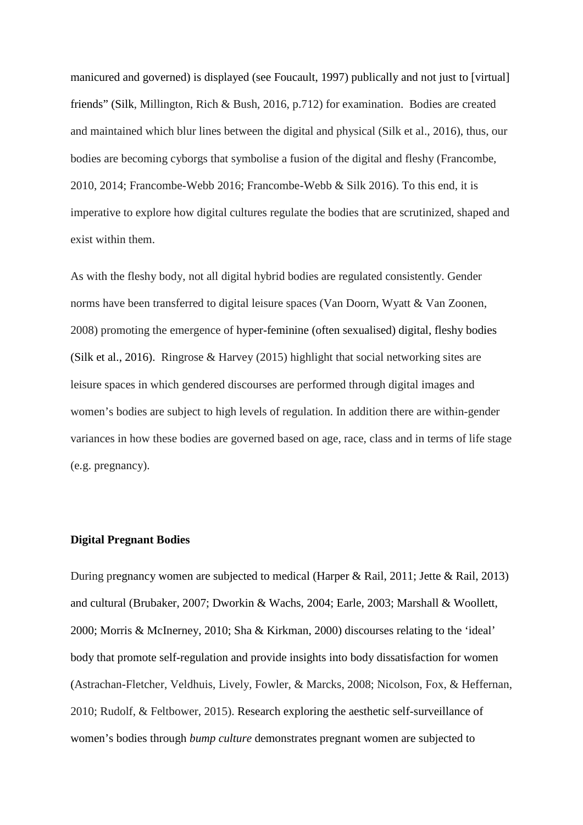manicured and governed) is displayed (see Foucault, 1997) publically and not just to [virtual] friends" (Silk, Millington, Rich & Bush, 2016, p.712) for examination. Bodies are created and maintained which blur lines between the digital and physical (Silk et al., 2016), thus, our bodies are becoming cyborgs that symbolise a fusion of the digital and fleshy (Francombe, 2010, 2014; Francombe-Webb 2016; Francombe-Webb & Silk 2016). To this end, it is imperative to explore how digital cultures regulate the bodies that are scrutinized, shaped and exist within them.

As with the fleshy body, not all digital hybrid bodies are regulated consistently. Gender norms have been transferred to digital leisure spaces (Van Doorn, Wyatt & Van Zoonen, 2008) promoting the emergence of hyper-feminine (often sexualised) digital, fleshy bodies (Silk et al., 2016). Ringrose & Harvey (2015) highlight that social networking sites are leisure spaces in which gendered discourses are performed through digital images and women's bodies are subject to high levels of regulation. In addition there are within-gender variances in how these bodies are governed based on age, race, class and in terms of life stage (e.g. pregnancy).

### **Digital Pregnant Bodies**

During pregnancy women are subjected to medical (Harper & Rail, 2011; Jette & Rail, 2013) and cultural (Brubaker, 2007; Dworkin & Wachs, 2004; Earle, 2003; Marshall & Woollett, 2000; Morris & McInerney, 2010; Sha & Kirkman, 2000) discourses relating to the 'ideal' body that promote self-regulation and provide insights into body dissatisfaction for women (Astrachan-Fletcher, Veldhuis, Lively, Fowler, & Marcks, 2008; Nicolson, Fox, & Heffernan, 2010; Rudolf, & Feltbower, 2015). Research exploring the aesthetic self-surveillance of women's bodies through *bump culture* demonstrates pregnant women are subjected to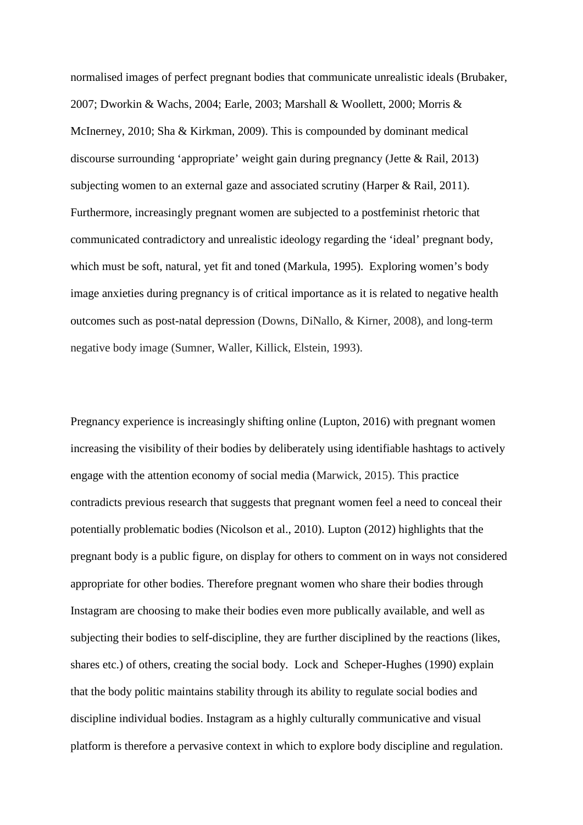normalised images of perfect pregnant bodies that communicate unrealistic ideals (Brubaker, 2007; Dworkin & Wachs, 2004; Earle, 2003; Marshall & Woollett, 2000; Morris & McInerney, 2010; Sha & Kirkman, 2009). This is compounded by dominant medical discourse surrounding 'appropriate' weight gain during pregnancy (Jette & Rail, 2013) subjecting women to an external gaze and associated scrutiny (Harper & Rail, 2011). Furthermore, increasingly pregnant women are subjected to a postfeminist rhetoric that communicated contradictory and unrealistic ideology regarding the 'ideal' pregnant body, which must be soft, natural, yet fit and toned (Markula, 1995). Exploring women's body image anxieties during pregnancy is of critical importance as it is related to negative health outcomes such as post-natal depression (Downs, DiNallo, & Kirner, 2008), and long-term negative body image (Sumner, Waller, Killick, Elstein, 1993).

Pregnancy experience is increasingly shifting online (Lupton, 2016) with pregnant women increasing the visibility of their bodies by deliberately using identifiable hashtags to actively engage with the attention economy of social media (Marwick, 2015). This practice contradicts previous research that suggests that pregnant women feel a need to conceal their potentially problematic bodies (Nicolson et al., 2010). Lupton (2012) highlights that the pregnant body is a public figure, on display for others to comment on in ways not considered appropriate for other bodies. Therefore pregnant women who share their bodies through Instagram are choosing to make their bodies even more publically available, and well as subjecting their bodies to self-discipline, they are further disciplined by the reactions (likes, shares etc.) of others, creating the social body. Lock and Scheper-Hughes (1990) explain that the body politic maintains stability through its ability to regulate social bodies and discipline individual bodies. Instagram as a highly culturally communicative and visual platform is therefore a pervasive context in which to explore body discipline and regulation.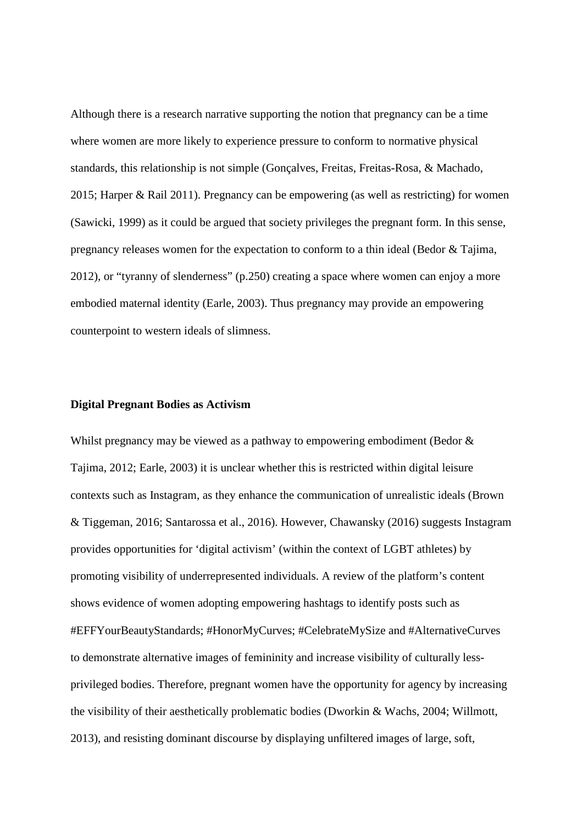Although there is a research narrative supporting the notion that pregnancy can be a time where women are more likely to experience pressure to conform to normative physical standards, this relationship is not simple (Gonçalves, Freitas, Freitas-Rosa, & Machado, 2015; Harper & Rail 2011). Pregnancy can be empowering (as well as restricting) for women (Sawicki, 1999) as it could be argued that society privileges the pregnant form. In this sense, pregnancy releases women for the expectation to conform to a thin ideal (Bedor & Tajima, 2012), or "tyranny of slenderness" (p.250) creating a space where women can enjoy a more embodied maternal identity (Earle, 2003). Thus pregnancy may provide an empowering counterpoint to western ideals of slimness.

### **Digital Pregnant Bodies as Activism**

Whilst pregnancy may be viewed as a pathway to empowering embodiment (Bedor  $\&$ Tajima, 2012; Earle, 2003) it is unclear whether this is restricted within digital leisure contexts such as Instagram, as they enhance the communication of unrealistic ideals (Brown & Tiggeman, 2016; Santarossa et al., 2016). However, Chawansky (2016) suggests Instagram provides opportunities for 'digital activism' (within the context of LGBT athletes) by promoting visibility of underrepresented individuals. A review of the platform's content shows evidence of women adopting empowering hashtags to identify posts such as #EFFYourBeautyStandards; #HonorMyCurves; #CelebrateMySize and #AlternativeCurves to demonstrate alternative images of femininity and increase visibility of culturally lessprivileged bodies. Therefore, pregnant women have the opportunity for agency by increasing the visibility of their aesthetically problematic bodies (Dworkin & Wachs, 2004; Willmott, 2013), and resisting dominant discourse by displaying unfiltered images of large, soft,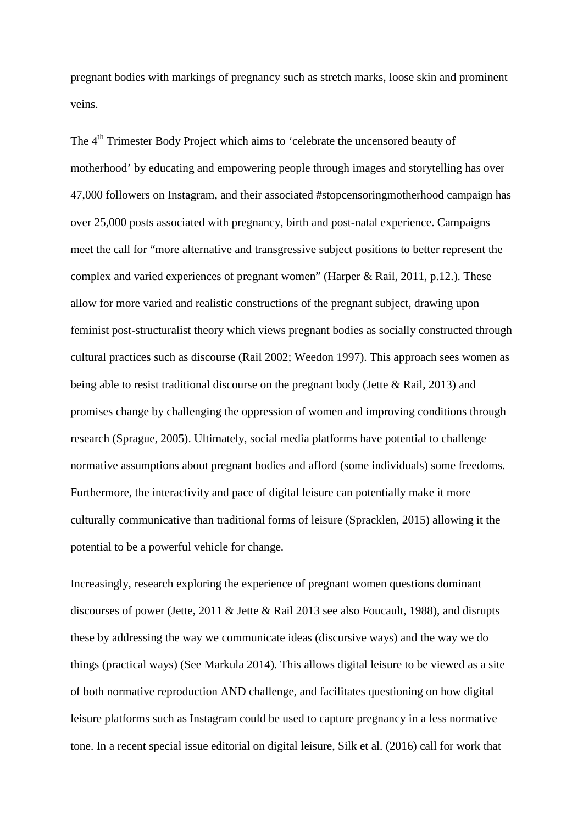pregnant bodies with markings of pregnancy such as stretch marks, loose skin and prominent veins.

The 4<sup>th</sup> Trimester Body Project which aims to 'celebrate the uncensored beauty of motherhood' by educating and empowering people through images and storytelling has over 47,000 followers on Instagram, and their associated #stopcensoringmotherhood campaign has over 25,000 posts associated with pregnancy, birth and post-natal experience. Campaigns meet the call for "more alternative and transgressive subject positions to better represent the complex and varied experiences of pregnant women" (Harper & Rail, 2011, p.12.). These allow for more varied and realistic constructions of the pregnant subject, drawing upon feminist post-structuralist theory which views pregnant bodies as socially constructed through cultural practices such as discourse (Rail 2002; Weedon 1997). This approach sees women as being able to resist traditional discourse on the pregnant body (Jette & Rail, 2013) and promises change by challenging the oppression of women and improving conditions through research (Sprague, 2005). Ultimately, social media platforms have potential to challenge normative assumptions about pregnant bodies and afford (some individuals) some freedoms. Furthermore, the interactivity and pace of digital leisure can potentially make it more culturally communicative than traditional forms of leisure (Spracklen, 2015) allowing it the potential to be a powerful vehicle for change.

Increasingly, research exploring the experience of pregnant women questions dominant discourses of power (Jette, 2011 & Jette & Rail 2013 see also Foucault, 1988), and disrupts these by addressing the way we communicate ideas (discursive ways) and the way we do things (practical ways) (See Markula 2014). This allows digital leisure to be viewed as a site of both normative reproduction AND challenge, and facilitates questioning on how digital leisure platforms such as Instagram could be used to capture pregnancy in a less normative tone. In a recent special issue editorial on digital leisure, Silk et al. (2016) call for work that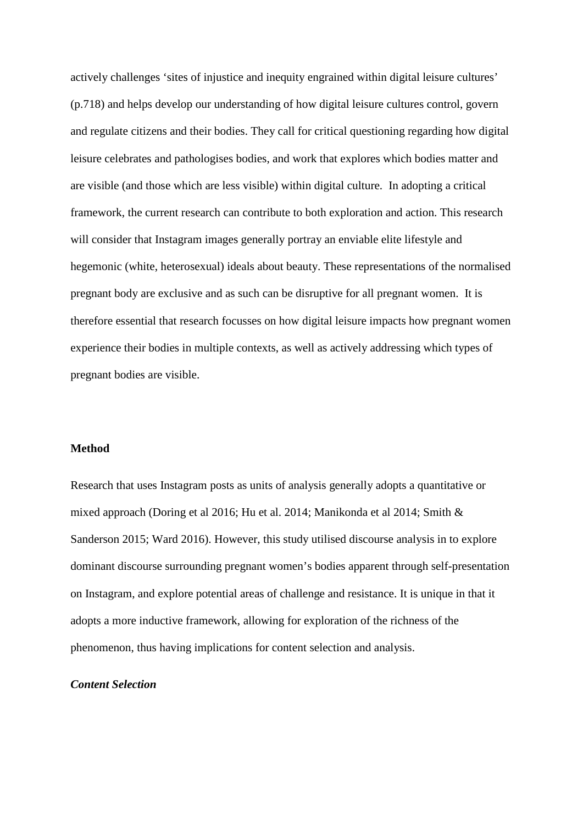actively challenges 'sites of injustice and inequity engrained within digital leisure cultures' (p.718) and helps develop our understanding of how digital leisure cultures control, govern and regulate citizens and their bodies. They call for critical questioning regarding how digital leisure celebrates and pathologises bodies, and work that explores which bodies matter and are visible (and those which are less visible) within digital culture. In adopting a critical framework, the current research can contribute to both exploration and action. This research will consider that Instagram images generally portray an enviable elite lifestyle and hegemonic (white, heterosexual) ideals about beauty. These representations of the normalised pregnant body are exclusive and as such can be disruptive for all pregnant women. It is therefore essential that research focusses on how digital leisure impacts how pregnant women experience their bodies in multiple contexts, as well as actively addressing which types of pregnant bodies are visible.

## **Method**

Research that uses Instagram posts as units of analysis generally adopts a quantitative or mixed approach (Doring et al 2016; Hu et al. 2014; Manikonda et al 2014; Smith & Sanderson 2015; Ward 2016). However, this study utilised discourse analysis in to explore dominant discourse surrounding pregnant women's bodies apparent through self-presentation on Instagram, and explore potential areas of challenge and resistance. It is unique in that it adopts a more inductive framework, allowing for exploration of the richness of the phenomenon, thus having implications for content selection and analysis.

# *Content Selection*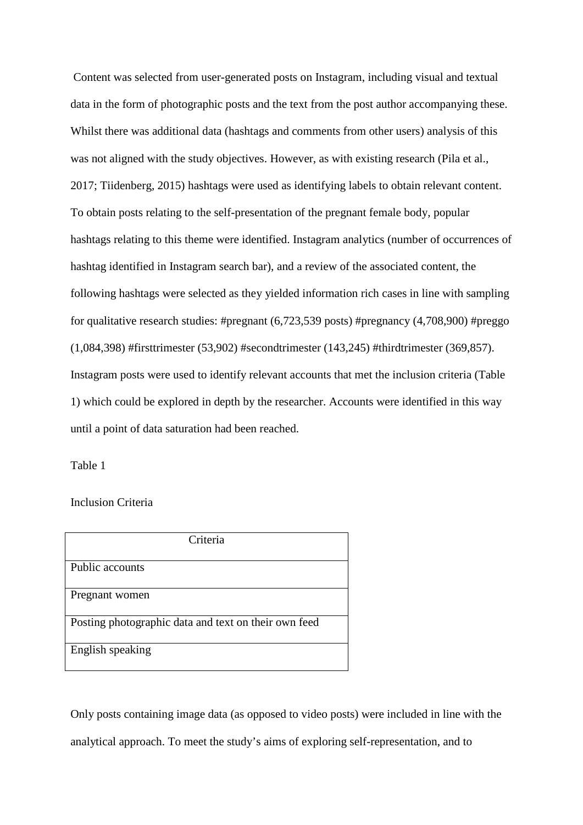Content was selected from user-generated posts on Instagram, including visual and textual data in the form of photographic posts and the text from the post author accompanying these. Whilst there was additional data (hashtags and comments from other users) analysis of this was not aligned with the study objectives. However, as with existing research (Pila et al., 2017; Tiidenberg, 2015) hashtags were used as identifying labels to obtain relevant content. To obtain posts relating to the self-presentation of the pregnant female body, popular hashtags relating to this theme were identified. Instagram analytics (number of occurrences of hashtag identified in Instagram search bar), and a review of the associated content, the following hashtags were selected as they yielded information rich cases in line with sampling for qualitative research studies: #pregnant (6,723,539 posts) #pregnancy (4,708,900) #preggo (1,084,398) #firsttrimester (53,902) #secondtrimester (143,245) #thirdtrimester (369,857). Instagram posts were used to identify relevant accounts that met the inclusion criteria (Table 1) which could be explored in depth by the researcher. Accounts were identified in this way until a point of data saturation had been reached.

Table 1

Inclusion Criteria

| Criteria                                             |
|------------------------------------------------------|
| Public accounts                                      |
| Pregnant women                                       |
| Posting photographic data and text on their own feed |
| English speaking                                     |

Only posts containing image data (as opposed to video posts) were included in line with the analytical approach. To meet the study's aims of exploring self-representation, and to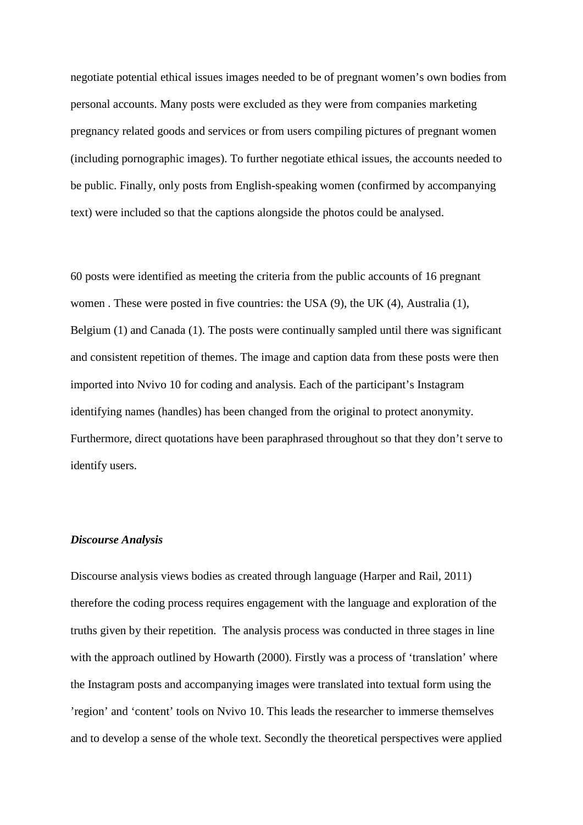negotiate potential ethical issues images needed to be of pregnant women's own bodies from personal accounts. Many posts were excluded as they were from companies marketing pregnancy related goods and services or from users compiling pictures of pregnant women (including pornographic images). To further negotiate ethical issues, the accounts needed to be public. Finally, only posts from English-speaking women (confirmed by accompanying text) were included so that the captions alongside the photos could be analysed.

60 posts were identified as meeting the criteria from the public accounts of 16 pregnant women . These were posted in five countries: the USA (9), the UK (4), Australia (1), Belgium (1) and Canada (1). The posts were continually sampled until there was significant and consistent repetition of themes. The image and caption data from these posts were then imported into Nvivo 10 for coding and analysis. Each of the participant's Instagram identifying names (handles) has been changed from the original to protect anonymity. Furthermore, direct quotations have been paraphrased throughout so that they don't serve to identify users.

# *Discourse Analysis*

Discourse analysis views bodies as created through language (Harper and Rail, 2011) therefore the coding process requires engagement with the language and exploration of the truths given by their repetition. The analysis process was conducted in three stages in line with the approach outlined by Howarth (2000). Firstly was a process of 'translation' where the Instagram posts and accompanying images were translated into textual form using the 'region' and 'content' tools on Nvivo 10. This leads the researcher to immerse themselves and to develop a sense of the whole text. Secondly the theoretical perspectives were applied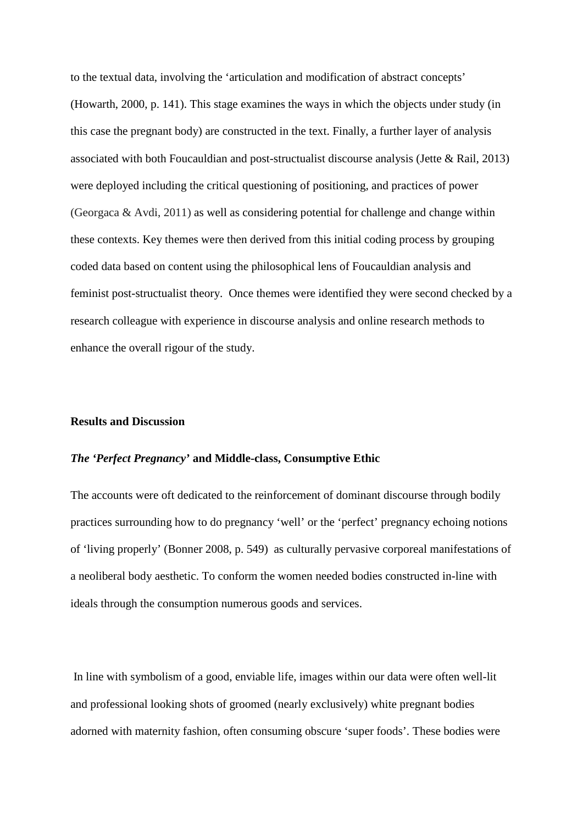to the textual data, involving the 'articulation and modification of abstract concepts' (Howarth, 2000, p. 141). This stage examines the ways in which the objects under study (in this case the pregnant body) are constructed in the text. Finally, a further layer of analysis associated with both Foucauldian and post-structualist discourse analysis (Jette & Rail, 2013) were deployed including the critical questioning of positioning, and practices of power (Georgaca & Avdi, 2011) as well as considering potential for challenge and change within these contexts. Key themes were then derived from this initial coding process by grouping coded data based on content using the philosophical lens of Foucauldian analysis and feminist post-structualist theory. Once themes were identified they were second checked by a research colleague with experience in discourse analysis and online research methods to enhance the overall rigour of the study.

#### **Results and Discussion**

## *The 'Perfect Pregnancy'* **and Middle-class, Consumptive Ethic**

The accounts were oft dedicated to the reinforcement of dominant discourse through bodily practices surrounding how to do pregnancy 'well' or the 'perfect' pregnancy echoing notions of 'living properly' (Bonner 2008, p. 549) as culturally pervasive corporeal manifestations of a neoliberal body aesthetic. To conform the women needed bodies constructed in-line with ideals through the consumption numerous goods and services.

In line with symbolism of a good, enviable life, images within our data were often well-lit and professional looking shots of groomed (nearly exclusively) white pregnant bodies adorned with maternity fashion, often consuming obscure 'super foods'. These bodies were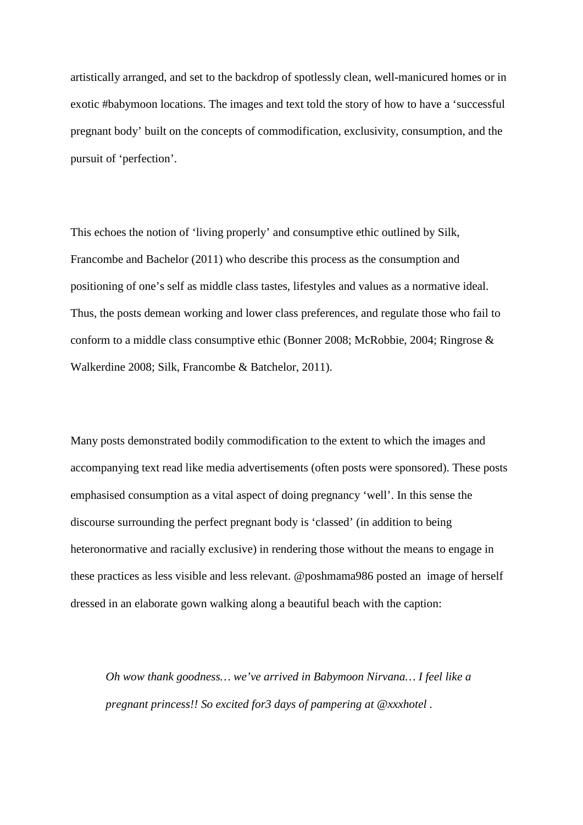artistically arranged, and set to the backdrop of spotlessly clean, well-manicured homes or in exotic #babymoon locations. The images and text told the story of how to have a 'successful pregnant body' built on the concepts of commodification, exclusivity, consumption, and the pursuit of 'perfection'.

This echoes the notion of 'living properly' and consumptive ethic outlined by Silk, Francombe and Bachelor (2011) who describe this process as the consumption and positioning of one's self as middle class tastes, lifestyles and values as a normative ideal. Thus, the posts demean working and lower class preferences, and regulate those who fail to conform to a middle class consumptive ethic (Bonner 2008; McRobbie, 2004; Ringrose & Walkerdine 2008; Silk, Francombe & Batchelor, 2011).

Many posts demonstrated bodily commodification to the extent to which the images and accompanying text read like media advertisements (often posts were sponsored). These posts emphasised consumption as a vital aspect of doing pregnancy 'well'. In this sense the discourse surrounding the perfect pregnant body is 'classed' (in addition to being heteronormative and racially exclusive) in rendering those without the means to engage in these practices as less visible and less relevant. @poshmama986 posted an image of herself dressed in an elaborate gown walking along a beautiful beach with the caption:

*Oh wow thank goodness… we've arrived in Babymoon Nirvana… I feel like a pregnant princess!! So excited for3 days of pampering at @xxxhotel .*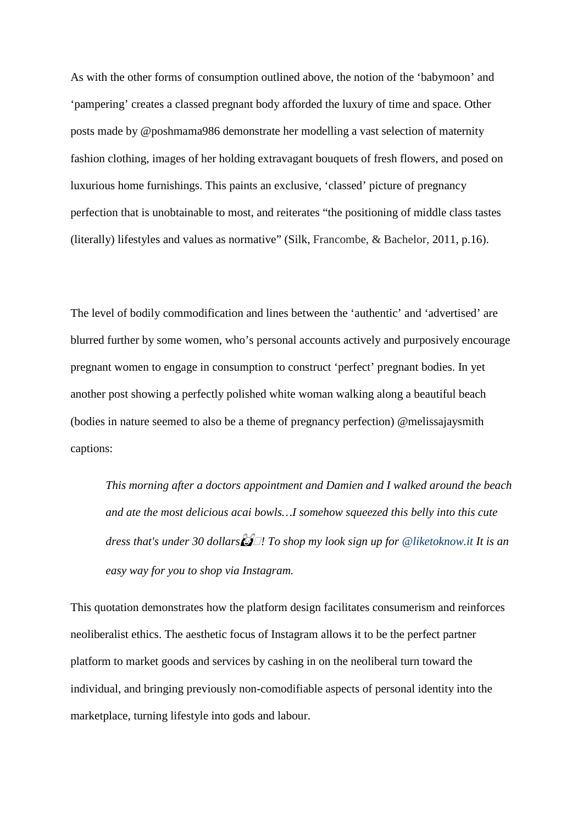As with the other forms of consumption outlined above, the notion of the 'babymoon' and 'pampering' creates a classed pregnant body afforded the luxury of time and space. Other posts made by @poshmama986 demonstrate her modelling a vast selection of maternity fashion clothing, images of her holding extravagant bouquets of fresh flowers, and posed on luxurious home furnishings. This paints an exclusive, 'classed' picture of pregnancy perfection that is unobtainable to most, and reiterates "the positioning of middle class tastes (literally) lifestyles and values as normative" (Silk, Francombe, & Bachelor, 2011, p.16).

The level of bodily commodification and lines between the 'authentic' and 'advertised' are blurred further by some women, who's personal accounts actively and purposively encourage pregnant women to engage in consumption to construct 'perfect' pregnant bodies. In yet another post showing a perfectly polished white woman walking along a beautiful beach (bodies in nature seemed to also be a theme of pregnancy perfection) @melissajaysmith captions:

*This morning after a doctors appointment and Damien and I walked around the beach and ate the most delicious acai bowls…I somehow squeezed this belly into this cute dress that's under 30 dollars*�*! To shop my look sign up for [@liketoknow.it](https://www.instagram.com/liketoknow.it/) It is an easy way for you to shop via Instagram.*

This quotation demonstrates how the platform design facilitates consumerism and reinforces neoliberalist ethics. The aesthetic focus of Instagram allows it to be the perfect partner platform to market goods and services by cashing in on the neoliberal turn toward the individual, and bringing previously non-comodifiable aspects of personal identity into the marketplace, turning lifestyle into gods and labour.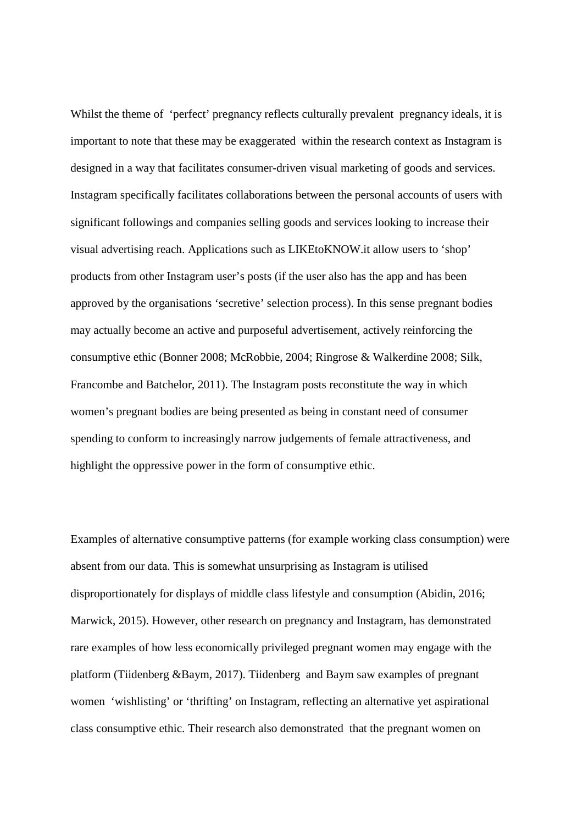Whilst the theme of 'perfect' pregnancy reflects culturally prevalent pregnancy ideals, it is important to note that these may be exaggerated within the research context as Instagram is designed in a way that facilitates consumer-driven visual marketing of goods and services. Instagram specifically facilitates collaborations between the personal accounts of users with significant followings and companies selling goods and services looking to increase their visual advertising reach. Applications such as LIKEtoKNOW.it allow users to 'shop' products from other Instagram user's posts (if the user also has the app and has been approved by the organisations 'secretive' selection process). In this sense pregnant bodies may actually become an active and purposeful advertisement, actively reinforcing the consumptive ethic (Bonner 2008; McRobbie, 2004; Ringrose & Walkerdine 2008; Silk, Francombe and Batchelor, 2011). The Instagram posts reconstitute the way in which women's pregnant bodies are being presented as being in constant need of consumer spending to conform to increasingly narrow judgements of female attractiveness, and highlight the oppressive power in the form of consumptive ethic.

Examples of alternative consumptive patterns (for example working class consumption) were absent from our data. This is somewhat unsurprising as Instagram is utilised disproportionately for displays of middle class lifestyle and consumption (Abidin, 2016; Marwick, 2015). However, other research on pregnancy and Instagram, has demonstrated rare examples of how less economically privileged pregnant women may engage with the platform (Tiidenberg &Baym, 2017). Tiidenberg and Baym saw examples of pregnant women 'wishlisting' or 'thrifting' on Instagram, reflecting an alternative yet aspirational class consumptive ethic. Their research also demonstrated that the pregnant women on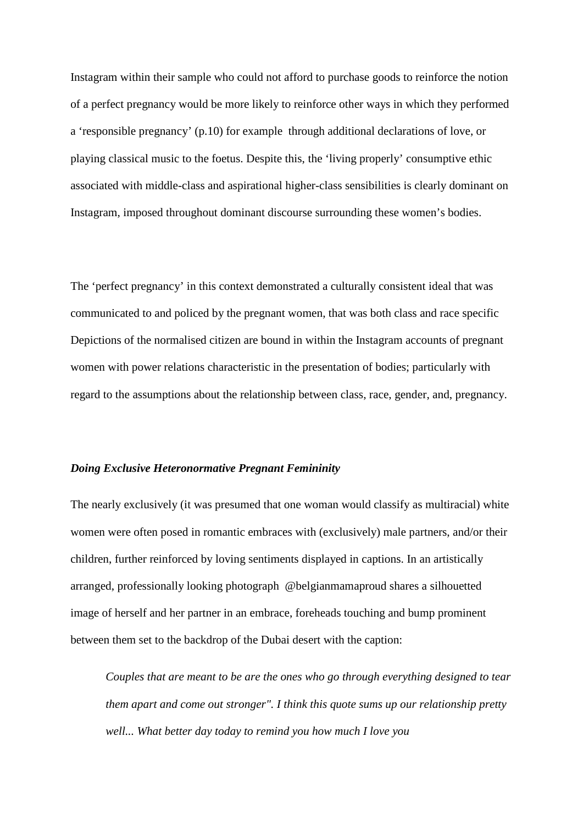Instagram within their sample who could not afford to purchase goods to reinforce the notion of a perfect pregnancy would be more likely to reinforce other ways in which they performed a 'responsible pregnancy' (p.10) for example through additional declarations of love, or playing classical music to the foetus. Despite this, the 'living properly' consumptive ethic associated with middle-class and aspirational higher-class sensibilities is clearly dominant on Instagram, imposed throughout dominant discourse surrounding these women's bodies.

The 'perfect pregnancy' in this context demonstrated a culturally consistent ideal that was communicated to and policed by the pregnant women, that was both class and race specific Depictions of the normalised citizen are bound in within the Instagram accounts of pregnant women with power relations characteristic in the presentation of bodies; particularly with regard to the assumptions about the relationship between class, race, gender, and, pregnancy.

# *Doing Exclusive Heteronormative Pregnant Femininity*

The nearly exclusively (it was presumed that one woman would classify as multiracial) white women were often posed in romantic embraces with (exclusively) male partners, and/or their children, further reinforced by loving sentiments displayed in captions. In an artistically arranged, professionally looking photograph @belgianmamaproud shares a silhouetted image of herself and her partner in an embrace, foreheads touching and bump prominent between them set to the backdrop of the Dubai desert with the caption:

*Couples that are meant to be are the ones who go through everything designed to tear them apart and come out stronger". I think this quote sums up our relationship pretty well...* What better day today to remind you how much I love you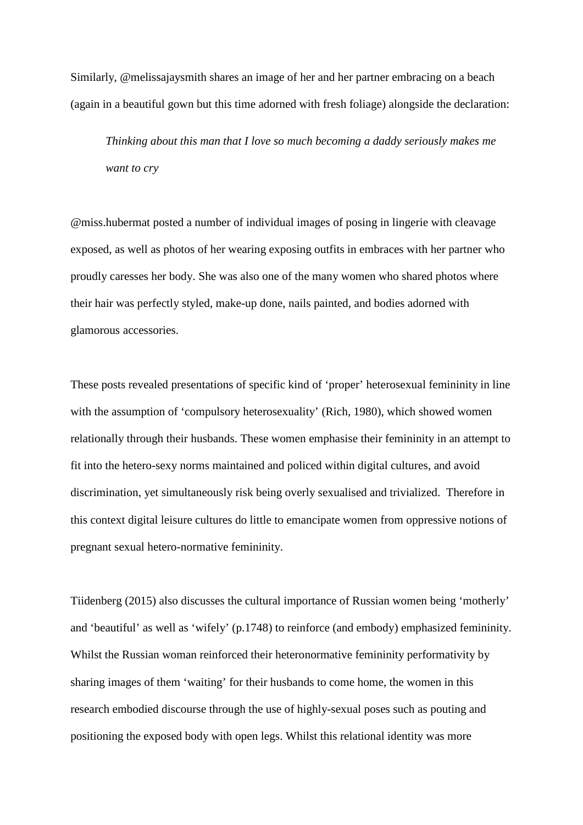Similarly, @melissajaysmith shares an image of her and her partner embracing on a beach (again in a beautiful gown but this time adorned with fresh foliage) alongside the declaration:

*Thinking about this man that I love so much becoming a daddy seriously makes me want to cry*

@miss.hubermat posted a number of individual images of posing in lingerie with cleavage exposed, as well as photos of her wearing exposing outfits in embraces with her partner who proudly caresses her body. She was also one of the many women who shared photos where their hair was perfectly styled, make-up done, nails painted, and bodies adorned with glamorous accessories.

These posts revealed presentations of specific kind of 'proper' heterosexual femininity in line with the assumption of 'compulsory heterosexuality' (Rich, 1980), which showed women relationally through their husbands. These women emphasise their femininity in an attempt to fit into the hetero-sexy norms maintained and policed within digital cultures, and avoid discrimination, yet simultaneously risk being overly sexualised and trivialized. Therefore in this context digital leisure cultures do little to emancipate women from oppressive notions of pregnant sexual hetero-normative femininity.

Tiidenberg (2015) also discusses the cultural importance of Russian women being 'motherly' and 'beautiful' as well as 'wifely' (p.1748) to reinforce (and embody) emphasized femininity. Whilst the Russian woman reinforced their heteronormative femininity performativity by sharing images of them 'waiting' for their husbands to come home, the women in this research embodied discourse through the use of highly-sexual poses such as pouting and positioning the exposed body with open legs. Whilst this relational identity was more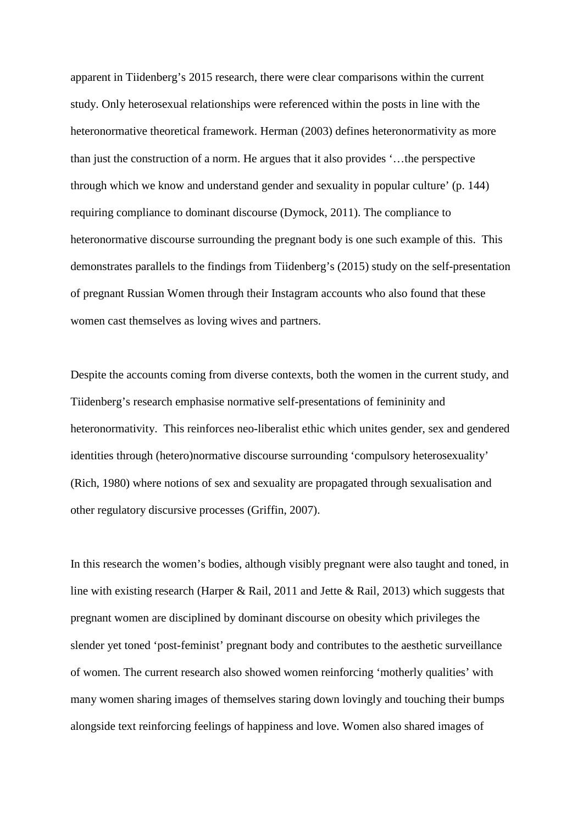apparent in Tiidenberg's 2015 research, there were clear comparisons within the current study. Only heterosexual relationships were referenced within the posts in line with the heteronormative theoretical framework. Herman (2003) defines heteronormativity as more than just the construction of a norm. He argues that it also provides '…the perspective through which we know and understand gender and sexuality in popular culture' (p. 144) requiring compliance to dominant discourse (Dymock, 2011). The compliance to heteronormative discourse surrounding the pregnant body is one such example of this. This demonstrates parallels to the findings from Tiidenberg's (2015) study on the self-presentation of pregnant Russian Women through their Instagram accounts who also found that these women cast themselves as loving wives and partners.

Despite the accounts coming from diverse contexts, both the women in the current study, and Tiidenberg's research emphasise normative self-presentations of femininity and heteronormativity. This reinforces neo-liberalist ethic which unites gender, sex and gendered identities through (hetero)normative discourse surrounding 'compulsory heterosexuality' (Rich, 1980) where notions of sex and sexuality are propagated through sexualisation and other regulatory discursive processes (Griffin, 2007).

In this research the women's bodies, although visibly pregnant were also taught and toned, in line with existing research (Harper & Rail, 2011 and Jette & Rail, 2013) which suggests that pregnant women are disciplined by dominant discourse on obesity which privileges the slender yet toned 'post-feminist' pregnant body and contributes to the aesthetic surveillance of women. The current research also showed women reinforcing 'motherly qualities' with many women sharing images of themselves staring down lovingly and touching their bumps alongside text reinforcing feelings of happiness and love. Women also shared images of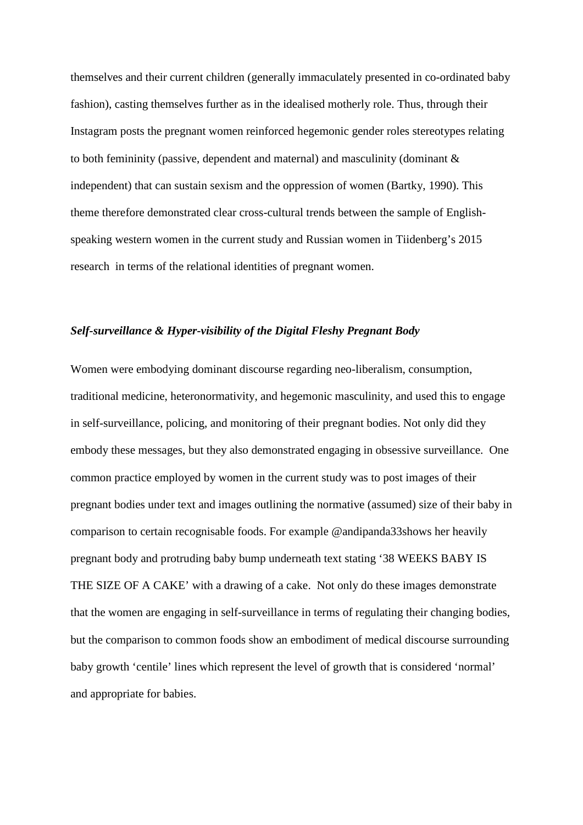themselves and their current children (generally immaculately presented in co-ordinated baby fashion), casting themselves further as in the idealised motherly role. Thus, through their Instagram posts the pregnant women reinforced hegemonic gender roles stereotypes relating to both femininity (passive, dependent and maternal) and masculinity (dominant & independent) that can sustain sexism and the oppression of women (Bartky, 1990). This theme therefore demonstrated clear cross-cultural trends between the sample of Englishspeaking western women in the current study and Russian women in Tiidenberg's 2015 research in terms of the relational identities of pregnant women.

# *Self-surveillance & Hyper-visibility of the Digital Fleshy Pregnant Body*

Women were embodying dominant discourse regarding neo-liberalism, consumption, traditional medicine, heteronormativity, and hegemonic masculinity, and used this to engage in self-surveillance, policing, and monitoring of their pregnant bodies. Not only did they embody these messages, but they also demonstrated engaging in obsessive surveillance. One common practice employed by women in the current study was to post images of their pregnant bodies under text and images outlining the normative (assumed) size of their baby in comparison to certain recognisable foods. For example @andipanda33shows her heavily pregnant body and protruding baby bump underneath text stating '38 WEEKS BABY IS THE SIZE OF A CAKE' with a drawing of a cake. Not only do these images demonstrate that the women are engaging in self-surveillance in terms of regulating their changing bodies, but the comparison to common foods show an embodiment of medical discourse surrounding baby growth 'centile' lines which represent the level of growth that is considered 'normal' and appropriate for babies.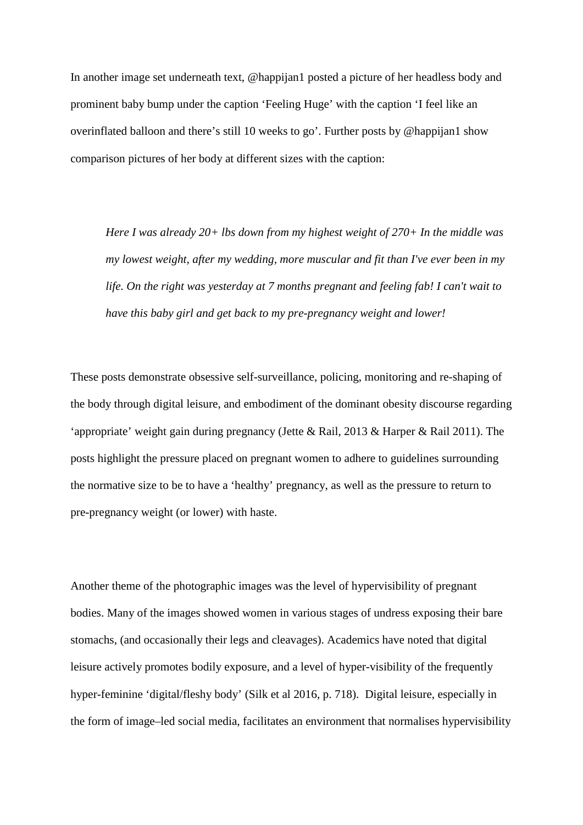In another image set underneath text, @happijan1 posted a picture of her headless body and prominent baby bump under the caption 'Feeling Huge' with the caption 'I feel like an overinflated balloon and there's still 10 weeks to go'. Further posts by @happijan1 show comparison pictures of her body at different sizes with the caption:

*Here I was already 20+ lbs down from my highest weight of 270+ In the middle was my lowest weight, after my wedding, more muscular and fit than I've ever been in my life. On the right was yesterday at 7 months pregnant and feeling fab! I can't wait to have this baby girl and get back to my pre-pregnancy weight and lower!*

These posts demonstrate obsessive self-surveillance, policing, monitoring and re-shaping of the body through digital leisure, and embodiment of the dominant obesity discourse regarding 'appropriate' weight gain during pregnancy (Jette & Rail, 2013 & Harper & Rail 2011). The posts highlight the pressure placed on pregnant women to adhere to guidelines surrounding the normative size to be to have a 'healthy' pregnancy, as well as the pressure to return to pre-pregnancy weight (or lower) with haste.

Another theme of the photographic images was the level of hypervisibility of pregnant bodies. Many of the images showed women in various stages of undress exposing their bare stomachs, (and occasionally their legs and cleavages). Academics have noted that digital leisure actively promotes bodily exposure, and a level of hyper-visibility of the frequently hyper-feminine 'digital/fleshy body' (Silk et al 2016, p. 718). Digital leisure, especially in the form of image–led social media, facilitates an environment that normalises hypervisibility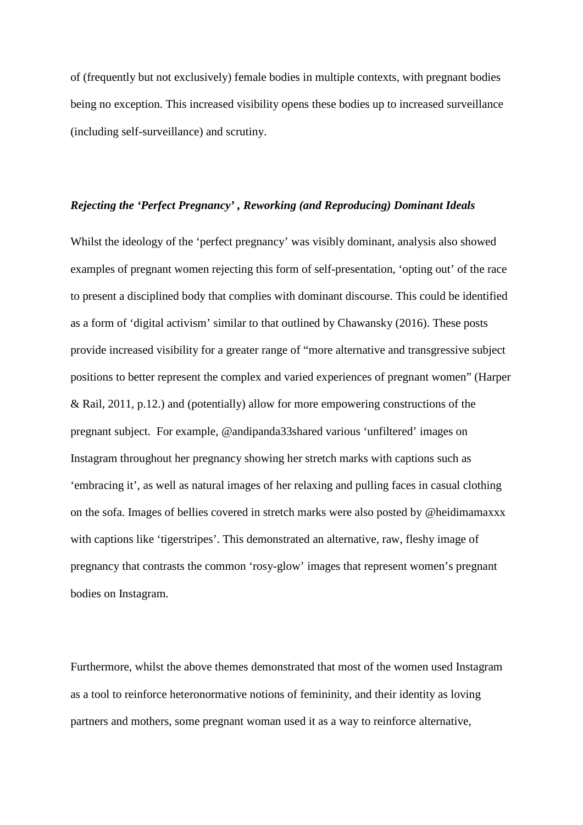of (frequently but not exclusively) female bodies in multiple contexts, with pregnant bodies being no exception. This increased visibility opens these bodies up to increased surveillance (including self-surveillance) and scrutiny.

# *Rejecting the 'Perfect Pregnancy' , Reworking (and Reproducing) Dominant Ideals*

Whilst the ideology of the 'perfect pregnancy' was visibly dominant, analysis also showed examples of pregnant women rejecting this form of self-presentation, 'opting out' of the race to present a disciplined body that complies with dominant discourse. This could be identified as a form of 'digital activism' similar to that outlined by Chawansky (2016). These posts provide increased visibility for a greater range of "more alternative and transgressive subject positions to better represent the complex and varied experiences of pregnant women" (Harper & Rail, 2011, p.12.) and (potentially) allow for more empowering constructions of the pregnant subject. For example, @andipanda33shared various 'unfiltered' images on Instagram throughout her pregnancy showing her stretch marks with captions such as 'embracing it', as well as natural images of her relaxing and pulling faces in casual clothing on the sofa. Images of bellies covered in stretch marks were also posted by @heidimamaxxx with captions like 'tigerstripes'. This demonstrated an alternative, raw, fleshy image of pregnancy that contrasts the common 'rosy-glow' images that represent women's pregnant bodies on Instagram.

Furthermore, whilst the above themes demonstrated that most of the women used Instagram as a tool to reinforce heteronormative notions of femininity, and their identity as loving partners and mothers, some pregnant woman used it as a way to reinforce alternative,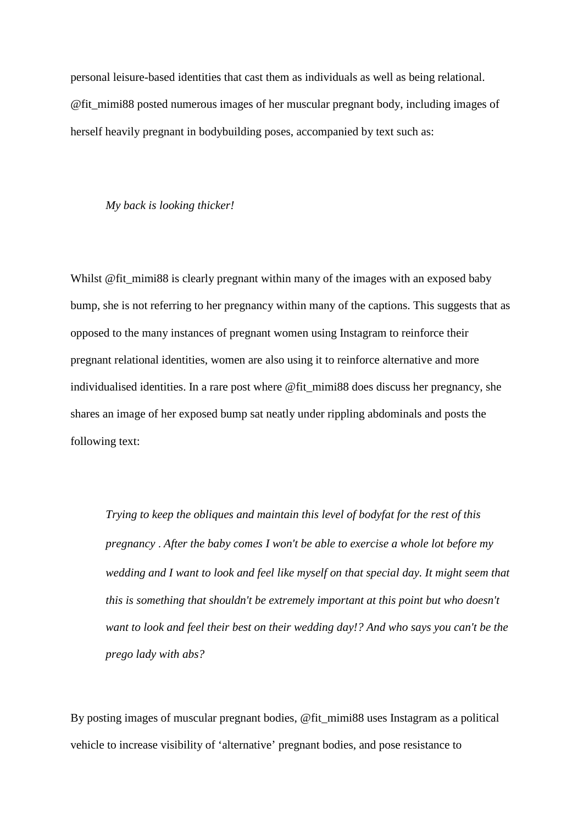personal leisure-based identities that cast them as individuals as well as being relational. @fit\_mimi88 posted numerous images of her muscular pregnant body, including images of herself heavily pregnant in bodybuilding poses, accompanied by text such as:

*My back is looking thicker!*

Whilst @fit\_mimi88 is clearly pregnant within many of the images with an exposed baby bump, she is not referring to her pregnancy within many of the captions. This suggests that as opposed to the many instances of pregnant women using Instagram to reinforce their pregnant relational identities, women are also using it to reinforce alternative and more individualised identities. In a rare post where @fit\_mimi88 does discuss her pregnancy, she shares an image of her exposed bump sat neatly under rippling abdominals and posts the following text:

*Trying to keep the obliques and maintain this level of bodyfat for the rest of this pregnancy* . *After the baby comes I won't be able to exercise a whole lot before my wedding and I want to look and feel like myself on that special day. It might seem that this is something that shouldn't be extremely important at this point but who doesn't want to look and feel their best on their wedding day!? And who says you can't be the prego lady with abs?*

By posting images of muscular pregnant bodies, @fit\_mimi88 uses Instagram as a political vehicle to increase visibility of 'alternative' pregnant bodies, and pose resistance to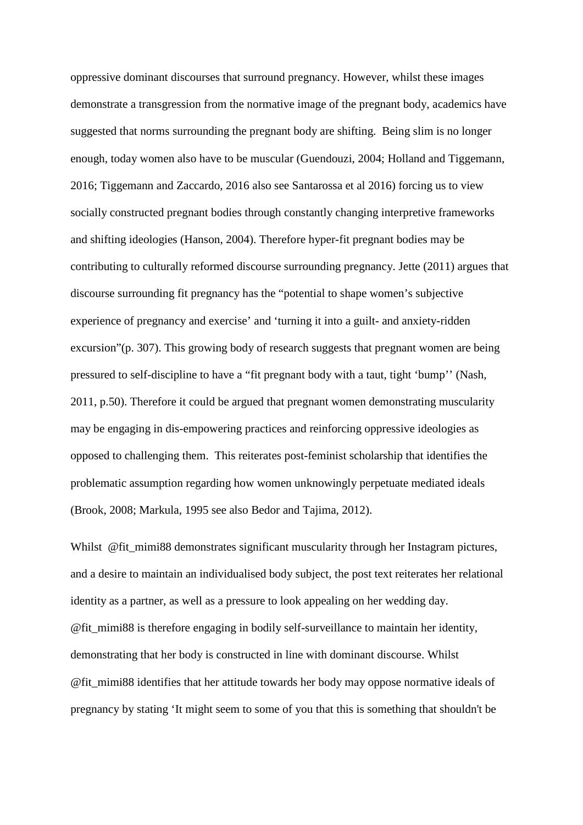oppressive dominant discourses that surround pregnancy. However, whilst these images demonstrate a transgression from the normative image of the pregnant body, academics have suggested that norms surrounding the pregnant body are shifting. Being slim is no longer enough, today women also have to be muscular (Guendouzi, 2004; Holland and Tiggemann, 2016; Tiggemann and Zaccardo, 2016 also see Santarossa et al 2016) forcing us to view socially constructed pregnant bodies through constantly changing interpretive frameworks and shifting ideologies (Hanson, 2004). Therefore hyper-fit pregnant bodies may be contributing to culturally reformed discourse surrounding pregnancy. Jette (2011) argues that discourse surrounding fit pregnancy has the "potential to shape women's subjective experience of pregnancy and exercise' and 'turning it into a guilt- and anxiety-ridden excursion"(p. 307). This growing body of research suggests that pregnant women are being pressured to self-discipline to have a "fit pregnant body with a taut, tight 'bump'' (Nash, 2011, p.50). Therefore it could be argued that pregnant women demonstrating muscularity may be engaging in dis-empowering practices and reinforcing oppressive ideologies as opposed to challenging them. This reiterates post-feminist scholarship that identifies the problematic assumption regarding how women unknowingly perpetuate mediated ideals (Brook, 2008; Markula, 1995 see also Bedor and Tajima, 2012).

Whilst @fit\_mimi88 demonstrates significant muscularity through her Instagram pictures, and a desire to maintain an individualised body subject, the post text reiterates her relational identity as a partner, as well as a pressure to look appealing on her wedding day. @fit\_mimi88 is therefore engaging in bodily self-surveillance to maintain her identity, demonstrating that her body is constructed in line with dominant discourse. Whilst @fit\_mimi88 identifies that her attitude towards her body may oppose normative ideals of pregnancy by stating 'It might seem to some of you that this is something that shouldn't be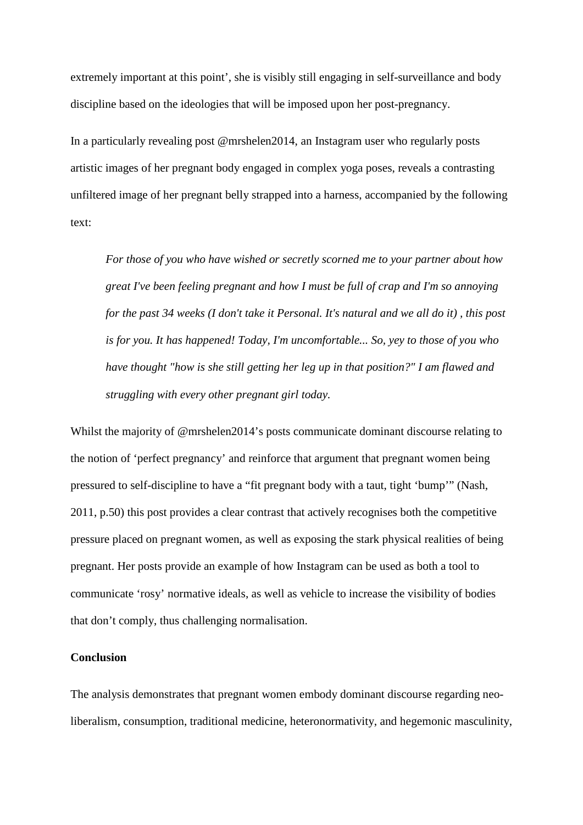extremely important at this point', she is visibly still engaging in self-surveillance and body discipline based on the ideologies that will be imposed upon her post-pregnancy.

In a particularly revealing post @mrshelen2014, an Instagram user who regularly posts artistic images of her pregnant body engaged in complex yoga poses, reveals a contrasting unfiltered image of her pregnant belly strapped into a harness, accompanied by the following text:

*For those of you who have wished or secretly scorned me to your partner about how great I've been feeling pregnant and how I must be full of crap and I'm so annoying for the past 34 weeks (I don't take it Personal. It's natural and we all do it) , this post is for you. It has happened! Today, I'm uncomfortable... So, yey to those of you who have thought "how is she still getting her leg up in that position?" I am flawed and struggling with every other pregnant girl today.* 

Whilst the majority of @mrshelen2014's posts communicate dominant discourse relating to the notion of 'perfect pregnancy' and reinforce that argument that pregnant women being pressured to self-discipline to have a "fit pregnant body with a taut, tight 'bump'" (Nash, 2011, p.50) this post provides a clear contrast that actively recognises both the competitive pressure placed on pregnant women, as well as exposing the stark physical realities of being pregnant. Her posts provide an example of how Instagram can be used as both a tool to communicate 'rosy' normative ideals, as well as vehicle to increase the visibility of bodies that don't comply, thus challenging normalisation.

## **Conclusion**

The analysis demonstrates that pregnant women embody dominant discourse regarding neoliberalism, consumption, traditional medicine, heteronormativity, and hegemonic masculinity,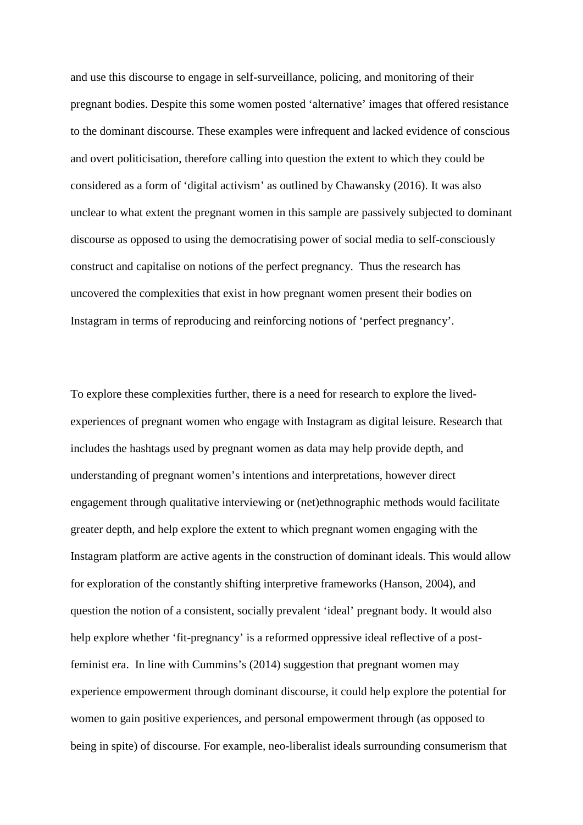and use this discourse to engage in self-surveillance, policing, and monitoring of their pregnant bodies. Despite this some women posted 'alternative' images that offered resistance to the dominant discourse. These examples were infrequent and lacked evidence of conscious and overt politicisation, therefore calling into question the extent to which they could be considered as a form of 'digital activism' as outlined by Chawansky (2016). It was also unclear to what extent the pregnant women in this sample are passively subjected to dominant discourse as opposed to using the democratising power of social media to self-consciously construct and capitalise on notions of the perfect pregnancy. Thus the research has uncovered the complexities that exist in how pregnant women present their bodies on Instagram in terms of reproducing and reinforcing notions of 'perfect pregnancy'.

To explore these complexities further, there is a need for research to explore the livedexperiences of pregnant women who engage with Instagram as digital leisure. Research that includes the hashtags used by pregnant women as data may help provide depth, and understanding of pregnant women's intentions and interpretations, however direct engagement through qualitative interviewing or (net)ethnographic methods would facilitate greater depth, and help explore the extent to which pregnant women engaging with the Instagram platform are active agents in the construction of dominant ideals. This would allow for exploration of the constantly shifting interpretive frameworks (Hanson, 2004), and question the notion of a consistent, socially prevalent 'ideal' pregnant body. It would also help explore whether 'fit-pregnancy' is a reformed oppressive ideal reflective of a postfeminist era. In line with Cummins's (2014) suggestion that pregnant women may experience empowerment through dominant discourse, it could help explore the potential for women to gain positive experiences, and personal empowerment through (as opposed to being in spite) of discourse. For example, neo-liberalist ideals surrounding consumerism that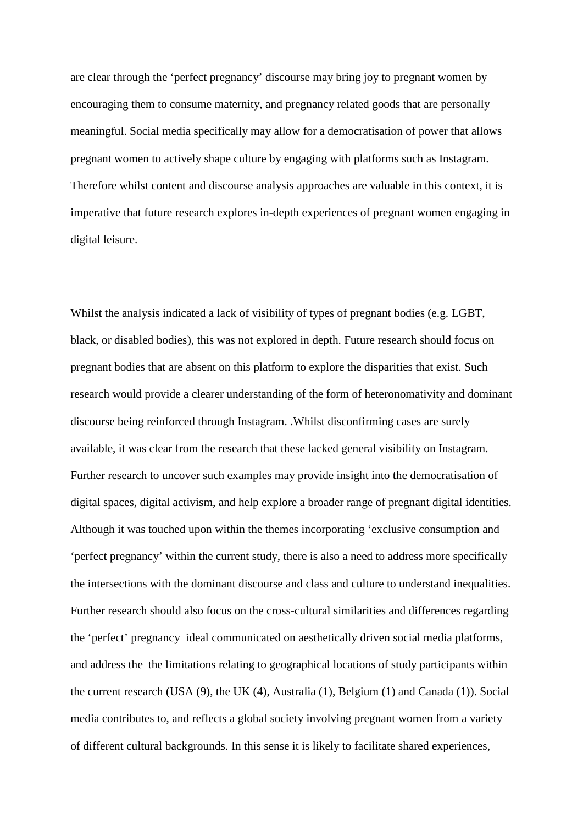are clear through the 'perfect pregnancy' discourse may bring joy to pregnant women by encouraging them to consume maternity, and pregnancy related goods that are personally meaningful. Social media specifically may allow for a democratisation of power that allows pregnant women to actively shape culture by engaging with platforms such as Instagram. Therefore whilst content and discourse analysis approaches are valuable in this context, it is imperative that future research explores in-depth experiences of pregnant women engaging in digital leisure.

Whilst the analysis indicated a lack of visibility of types of pregnant bodies (e.g. LGBT, black, or disabled bodies), this was not explored in depth. Future research should focus on pregnant bodies that are absent on this platform to explore the disparities that exist. Such research would provide a clearer understanding of the form of heteronomativity and dominant discourse being reinforced through Instagram. .Whilst disconfirming cases are surely available, it was clear from the research that these lacked general visibility on Instagram. Further research to uncover such examples may provide insight into the democratisation of digital spaces, digital activism, and help explore a broader range of pregnant digital identities. Although it was touched upon within the themes incorporating 'exclusive consumption and 'perfect pregnancy' within the current study, there is also a need to address more specifically the intersections with the dominant discourse and class and culture to understand inequalities. Further research should also focus on the cross-cultural similarities and differences regarding the 'perfect' pregnancy ideal communicated on aesthetically driven social media platforms, and address the the limitations relating to geographical locations of study participants within the current research (USA (9), the UK (4), Australia (1), Belgium (1) and Canada (1)). Social media contributes to, and reflects a global society involving pregnant women from a variety of different cultural backgrounds. In this sense it is likely to facilitate shared experiences,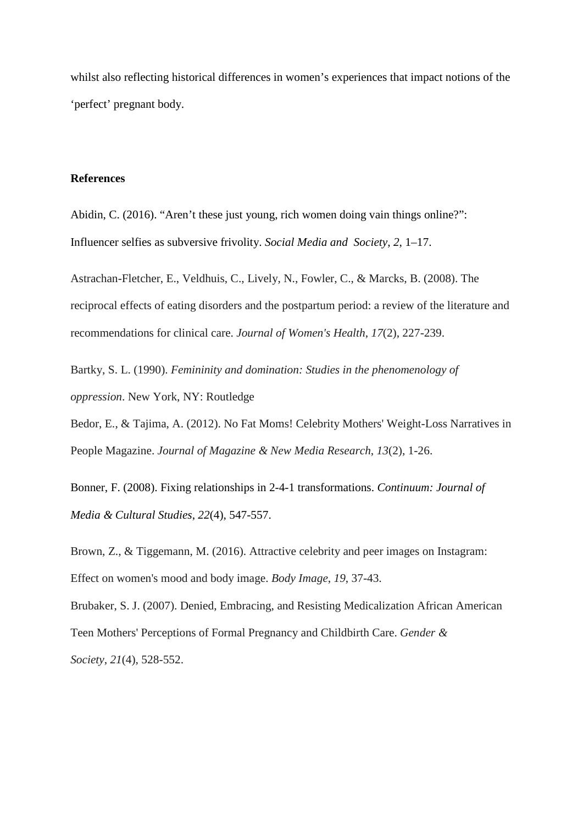whilst also reflecting historical differences in women's experiences that impact notions of the 'perfect' pregnant body.

# **References**

Abidin, C. (2016). "Aren't these just young, rich women doing vain things online?": Influencer selfies as subversive frivolity. *Social Media and Society*, *2*, 1–17.

Astrachan-Fletcher, E., Veldhuis, C., Lively, N., Fowler, C., & Marcks, B. (2008). The reciprocal effects of eating disorders and the postpartum period: a review of the literature and recommendations for clinical care. *Journal of Women's Health*, *17*(2), 227-239.

Bartky, S. L. (1990). *Femininity and domination: Studies in the phenomenology of oppression*. New York, NY: Routledge

Bedor, E., & Tajima, A. (2012). No Fat Moms! Celebrity Mothers' Weight-Loss Narratives in People Magazine. *Journal of Magazine & New Media Research*, *13*(2), 1-26.

Bonner, F. (2008). Fixing relationships in 2-4-1 transformations. *Continuum: Journal of Media & Cultural Studies*, *22*(4), 547-557.

Brown, Z., & Tiggemann, M. (2016). Attractive celebrity and peer images on Instagram: Effect on women's mood and body image. *Body Image*, *19*, 37-43.

Brubaker, S. J. (2007). Denied, Embracing, and Resisting Medicalization African American Teen Mothers' Perceptions of Formal Pregnancy and Childbirth Care. *Gender & Society*, *21*(4), 528-552.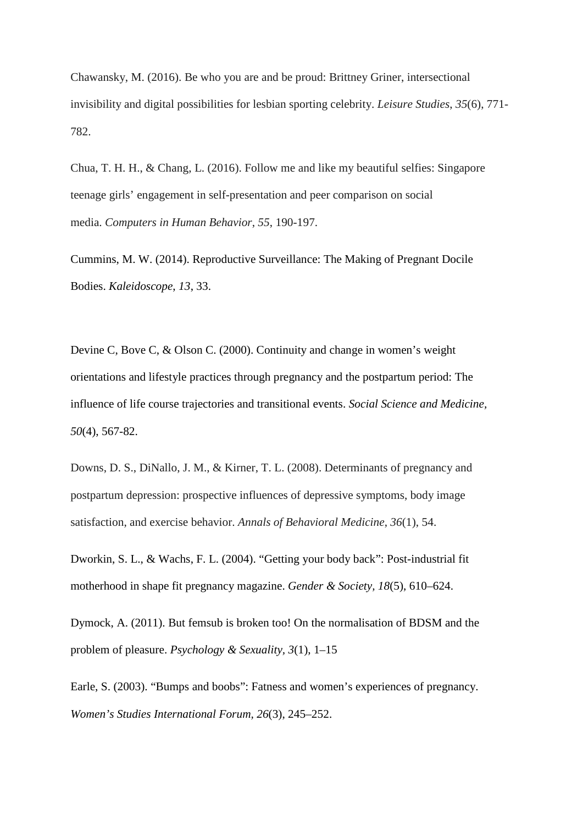Chawansky, M. (2016). Be who you are and be proud: Brittney Griner, intersectional invisibility and digital possibilities for lesbian sporting celebrity. *Leisure Studies*, *35*(6), 771- 782.

Chua, T. H. H., & Chang, L. (2016). Follow me and like my beautiful selfies: Singapore teenage girls' engagement in self-presentation and peer comparison on social media. *Computers in Human Behavior*, *55*, 190-197.

Cummins, M. W. (2014). Reproductive Surveillance: The Making of Pregnant Docile Bodies. *Kaleidoscope*, *13*, 33.

Devine C, Bove C, & Olson C. (2000). Continuity and change in women's weight orientations and lifestyle practices through pregnancy and the postpartum period: The influence of life course trajectories and transitional events. *Social Science and Medicine, 50*(4), 567-82.

Downs, D. S., DiNallo, J. M., & Kirner, T. L. (2008). Determinants of pregnancy and postpartum depression: prospective influences of depressive symptoms, body image satisfaction, and exercise behavior. *Annals of Behavioral Medicine*, *36*(1), 54.

Dworkin, S. L., & Wachs, F. L. (2004). "Getting your body back": Post-industrial fit motherhood in shape fit pregnancy magazine. *Gender & Society, 18*(5), 610–624.

Dymock, A. (2011). But femsub is broken too! On the normalisation of BDSM and the problem of pleasure. *Psychology & Sexuality, 3*(1), 1–15

Earle, S. (2003). "Bumps and boobs": Fatness and women's experiences of pregnancy. *Women's Studies International Forum, 26*(3), 245–252.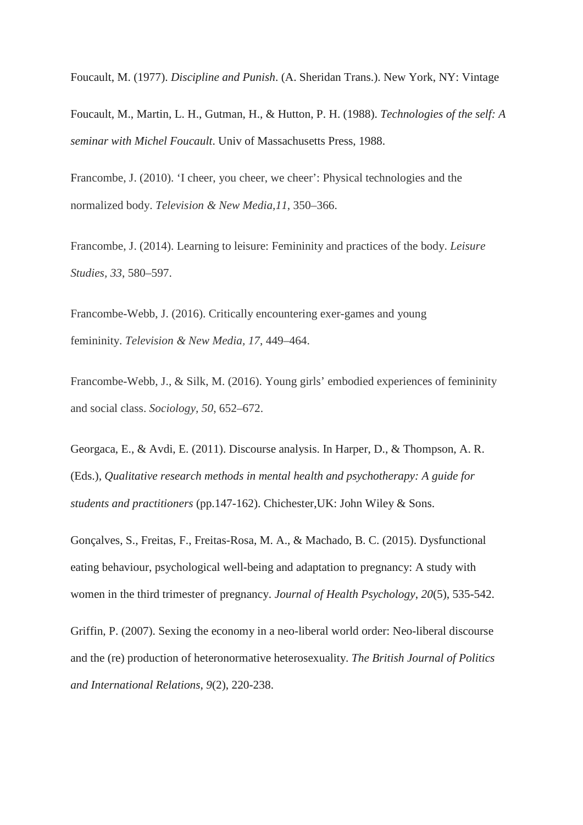Foucault, M. (1977). *Discipline and Punish*. (A. Sheridan Trans.). New York, NY: Vintage

Foucault, M., Martin, L. H., Gutman, H., & Hutton, P. H. (1988). *Technologies of the self: A seminar with Michel Foucault*. Univ of Massachusetts Press, 1988.

Francombe, J. (2010). 'I cheer, you cheer, we cheer': Physical technologies and the normalized body. *Television & New Media,11*, 350–366.

Francombe, J. (2014). Learning to leisure: Femininity and practices of the body. *Leisure Studies, 33*, 580–597.

Francombe-Webb, J. (2016). Critically encountering exer-games and young femininity. *Television & New Media, 17*, 449–464.

Francombe-Webb, J., & Silk, M. (2016). Young girls' embodied experiences of femininity and social class. *Sociology, 50*, 652–672.

Georgaca, E., & Avdi, E. (2011). Discourse analysis. In Harper, D., & Thompson, A. R. (Eds.), *Qualitative research methods in mental health and psychotherapy: A guide for students and practitioners* (pp.147-162). Chichester,UK: John Wiley & Sons.

Gonçalves, S., Freitas, F., Freitas-Rosa, M. A., & Machado, B. C. (2015). Dysfunctional eating behaviour, psychological well-being and adaptation to pregnancy: A study with women in the third trimester of pregnancy. *Journal of Health Psychology*, *20*(5), 535-542.

Griffin, P. (2007). Sexing the economy in a neo-liberal world order: Neo-liberal discourse and the (re) production of heteronormative heterosexuality. *The British Journal of Politics and International Relations*, *9*(2), 220-238.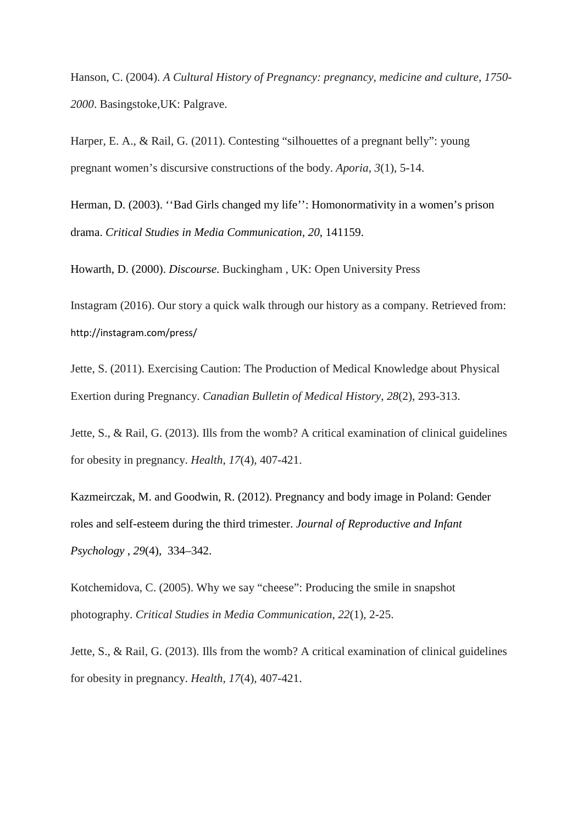Hanson, C. (2004). *A Cultural History of Pregnancy: pregnancy, medicine and culture, 1750- 2000*. Basingstoke,UK: Palgrave.

Harper, E. A., & Rail, G. (2011). Contesting "silhouettes of a pregnant belly": young pregnant women's discursive constructions of the body. *Aporia*, *3*(1), 5-14.

Herman, D. (2003). ''Bad Girls changed my life'': Homonormativity in a women's prison drama. *Critical Studies in Media Communication, 20*, 141159.

Howarth, D. (2000). *Discourse*. Buckingham , UK: Open University Press

Instagram (2016). Our story a quick walk through our history as a company. Retrieved from: http://instagram.com/press/

Jette, S. (2011). Exercising Caution: The Production of Medical Knowledge about Physical Exertion during Pregnancy. *Canadian Bulletin of Medical History*, *28*(2), 293-313.

Jette, S., & Rail, G. (2013). Ills from the womb? A critical examination of clinical guidelines for obesity in pregnancy. *Health*, *17*(4), 407-421.

Kazmeirczak, M. and Goodwin, R. (2012). Pregnancy and body image in Poland: Gender roles and self-esteem during the third trimester. *Journal of Reproductive and Infant Psychology* , *29*(4), 334–342.

Kotchemidova, C. (2005). Why we say "cheese": Producing the smile in snapshot photography. *Critical Studies in Media Communication*, *22*(1), 2-25.

Jette, S., & Rail, G. (2013). Ills from the womb? A critical examination of clinical guidelines for obesity in pregnancy. *Health*, *17*(4), 407-421.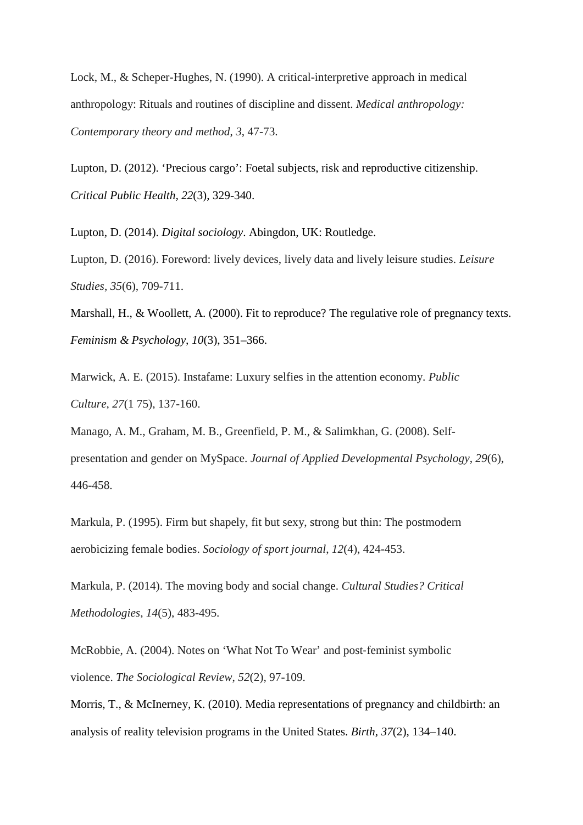Lock, M., & Scheper-Hughes, N. (1990). A critical-interpretive approach in medical anthropology: Rituals and routines of discipline and dissent. *Medical anthropology: Contemporary theory and method*, *3*, 47-73.

Lupton, D. (2012). 'Precious cargo': Foetal subjects, risk and reproductive citizenship. *Critical Public Health, 22*(3), 329-340.

Lupton, D. (2014). *Digital sociology*. Abingdon, UK: Routledge.

Lupton, D. (2016). Foreword: lively devices, lively data and lively leisure studies. *Leisure Studies*, *35*(6), 709-711.

Marshall, H., & Woollett, A. (2000). Fit to reproduce? The regulative role of pregnancy texts. *Feminism & Psychology, 10*(3), 351–366.

Marwick, A. E. (2015). Instafame: Luxury selfies in the attention economy. *Public Culture*, *27*(1 75), 137-160.

Manago, A. M., Graham, M. B., Greenfield, P. M., & Salimkhan, G. (2008). Selfpresentation and gender on MySpace. *Journal of Applied Developmental Psychology*, *29*(6), 446-458.

Markula, P. (1995). Firm but shapely, fit but sexy, strong but thin: The postmodern aerobicizing female bodies. *Sociology of sport journal*, *12*(4), 424-453.

Markula, P. (2014). The moving body and social change. *Cultural Studies? Critical Methodologies*, *14*(5), 483-495.

McRobbie, A. (2004). Notes on 'What Not To Wear' and post-feminist symbolic violence. *The Sociological Review*, *52*(2), 97-109.

Morris, T., & McInerney, K. (2010). Media representations of pregnancy and childbirth: an analysis of reality television programs in the United States. *Birth, 37*(2), 134–140.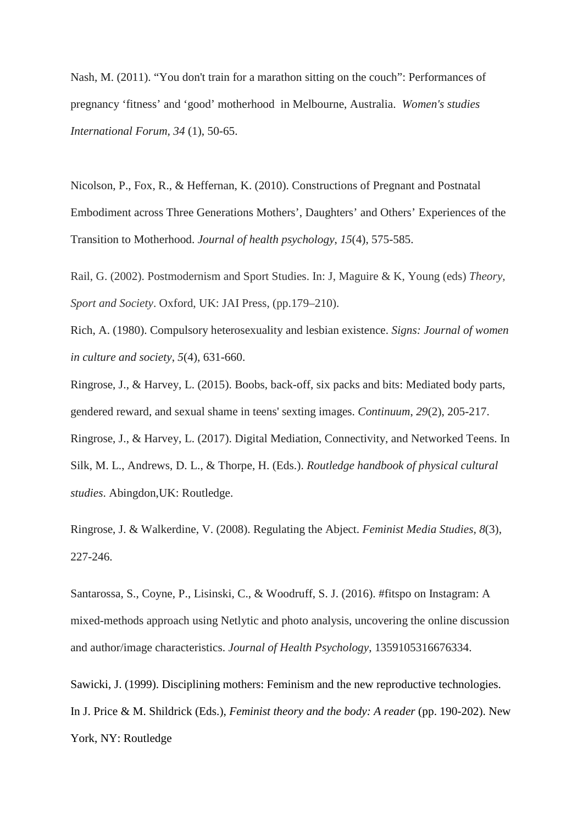Nash, M. (2011). "You don't train for a marathon sitting on the couch": Performances of pregnancy 'fitness' and 'good' motherhood in Melbourne, Australia. *Women's studies International Forum, 34* (1), 50-65.

Nicolson, P., Fox, R., & Heffernan, K. (2010). Constructions of Pregnant and Postnatal Embodiment across Three Generations Mothers', Daughters' and Others' Experiences of the Transition to Motherhood. *Journal of health psychology*, *15*(4), 575-585.

Rail, G. (2002). Postmodernism and Sport Studies. In: J, Maguire & K, Young (eds) *Theory, Sport and Society*. Oxford, UK: JAI Press, (pp.179–210).

Rich, A. (1980). Compulsory heterosexuality and lesbian existence. *Signs: Journal of women in culture and society*, *5*(4), 631-660.

Ringrose, J., & Harvey, L. (2015). Boobs, back-off, six packs and bits: Mediated body parts, gendered reward, and sexual shame in teens' sexting images. *Continuum*, *29*(2), 205-217. Ringrose, J., & Harvey, L. (2017). Digital Mediation, Connectivity, and Networked Teens. In Silk, M. L., Andrews, D. L., & Thorpe, H. (Eds.). *Routledge handbook of physical cultural studies*. Abingdon,UK: Routledge.

Ringrose, J. & Walkerdine, V. (2008). Regulating the Abject. *Feminist Media Studies, 8*(3), 227-246.

Santarossa, S., Coyne, P., Lisinski, C., & Woodruff, S. J. (2016). #fitspo on Instagram: A mixed-methods approach using Netlytic and photo analysis, uncovering the online discussion and author/image characteristics. *Journal of Health Psychology*, 1359105316676334.

Sawicki, J. (1999). Disciplining mothers: Feminism and the new reproductive technologies. In J. Price & M. Shildrick (Eds.), *Feminist theory and the body: A reader* (pp. 190-202). New York, NY: Routledge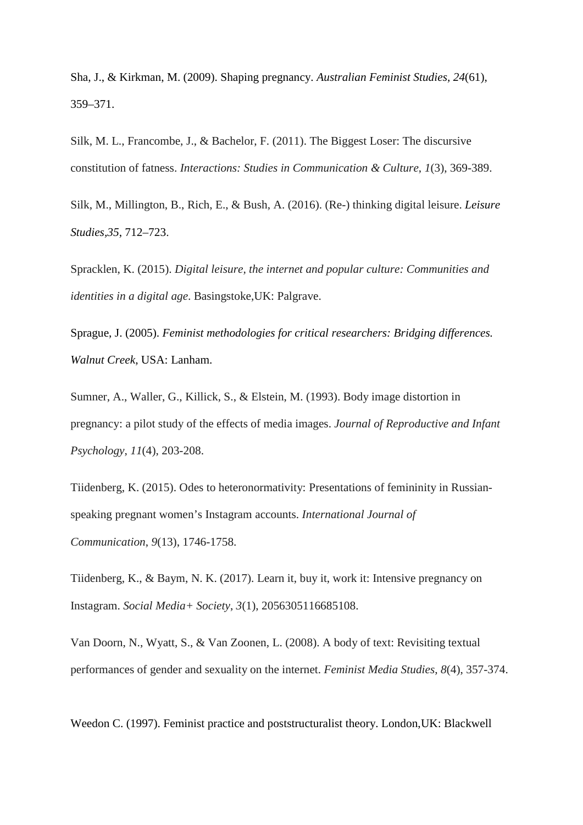Sha, J., & Kirkman, M. (2009). Shaping pregnancy. *Australian Feminist Studies, 24*(61), 359–371.

Silk, M. L., Francombe, J., & Bachelor, F. (2011). The Biggest Loser: The discursive constitution of fatness. *Interactions: Studies in Communication & Culture*, *1*(3), 369-389.

Silk, M., Millington, B., Rich, E., & Bush, A. (2016). (Re-) thinking digital leisure. *Leisure Studies,35*, 712–723.

Spracklen, K. (2015). *Digital leisure, the internet and popular culture: Communities and identities in a digital age*. Basingstoke,UK: Palgrave.

Sprague, J. (2005). *Feminist methodologies for critical researchers: Bridging differences. Walnut Creek*, USA: Lanham.

Sumner, A., Waller, G., Killick, S., & Elstein, M. (1993). Body image distortion in pregnancy: a pilot study of the effects of media images. *Journal of Reproductive and Infant Psychology*, *11*(4), 203-208.

Tiidenberg, K. (2015). Odes to heteronormativity: Presentations of femininity in Russianspeaking pregnant women's Instagram accounts. *International Journal of Communication*, *9*(13), 1746-1758.

Tiidenberg, K., & Baym, N. K. (2017). Learn it, buy it, work it: Intensive pregnancy on Instagram. *Social Media+ Society*, *3*(1), 2056305116685108.

Van Doorn, N., Wyatt, S., & Van Zoonen, L. (2008). A body of text: Revisiting textual performances of gender and sexuality on the internet. *Feminist Media Studies*, *8*(4), 357-374.

Weedon C. (1997). Feminist practice and poststructuralist theory. London,UK: Blackwell